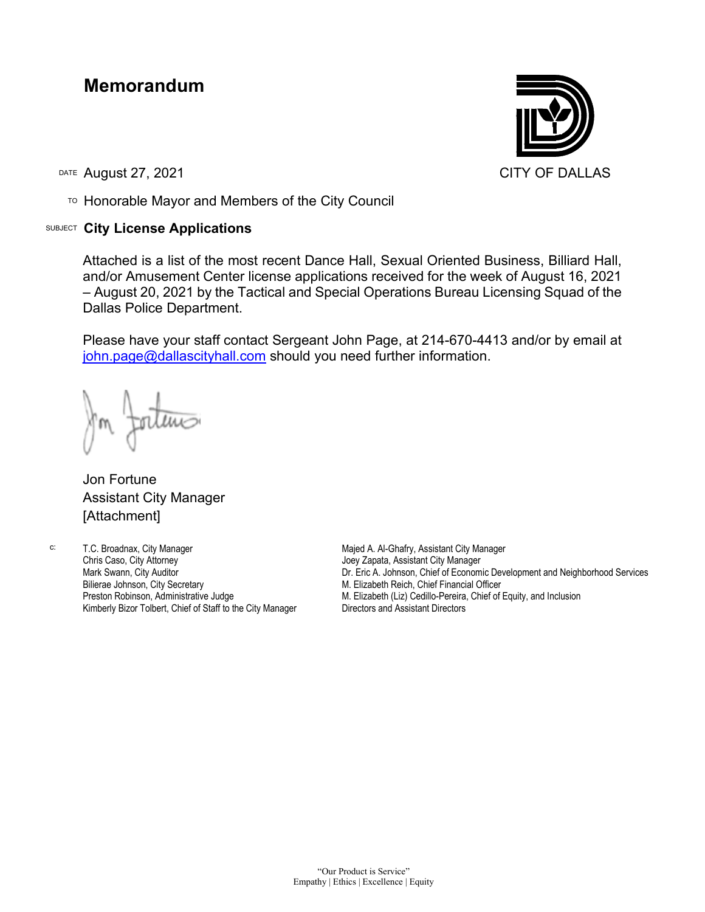## **Memorandum**

DATE August 27, 2021 CITY OF DALLAS

TO Honorable Mayor and Members of the City Council

## SUBJECT **City License Applications**



Attached is a list of the most recent Dance Hall, Sexual Oriented Business, Billiard Hall, and/or Amusement Center license applications received for the week of August 16, 2021 – August 20, 2021 by the Tactical and Special Operations Bureau Licensing Squad of the Dallas Police Department.

Please have your staff contact Sergeant John Page, at 214-670-4413 and/or by email at [john.page@dallascityhall.com](mailto:john.page@dallascityhall.com) should you need further information.

Jon Fortune Assistant City Manager [Attachment]

c: T.C. Broadnax, City Manager Chris Caso, City Attorney Mark Swann, City Auditor Bilierae Johnson, City Secretary Preston Robinson, Administrative Judge Kimberly Bizor Tolbert, Chief of Staff to the City Manager Majed A. Al-Ghafry, Assistant City Manager Joey Zapata, Assistant City Manager Dr. Eric A. Johnson, Chief of Economic Development and Neighborhood Services M. Elizabeth Reich, Chief Financial Officer M. Elizabeth (Liz) Cedillo-Pereira, Chief of Equity, and Inclusion Directors and Assistant Directors